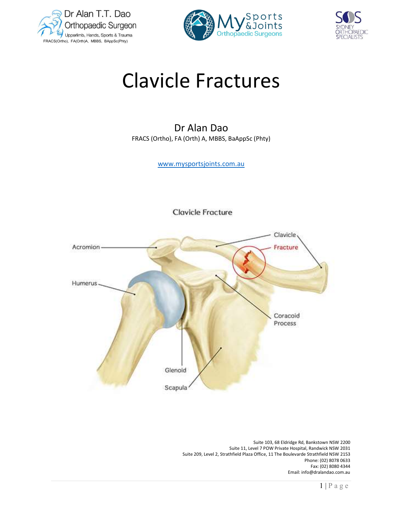





# Clavicle Fractures

Dr Alan Dao FRACS (Ortho), FA (Orth) A, MBBS, BaAppSc (Phty)

www.mysportsjoints.com.au

**Clavicle Fracture** 



 Suite 103, 68 Eldridge Rd, Bankstown NSW 2200 Suite 11, Level 7 POW Private Hospital, Randwick NSW 2031 Suite 209, Level 2, Strathfield Plaza Office, 11 The Boulevarde Strathfield NSW 2153 Phone: (02) 8078 0633 Fax: (02) 8080 4344 Email: info@dralandao.com.au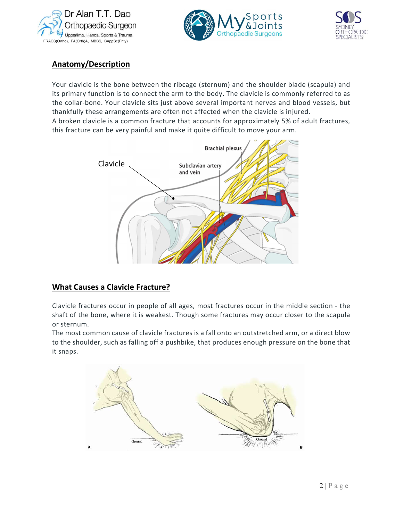





# Anatomy/Description

Your clavicle is the bone between the ribcage (sternum) and the shoulder blade (scapula) and its primary function is to connect the arm to the body. The clavicle is commonly referred to as the collar-bone. Your clavicle sits just above several important nerves and blood vessels, but thankfully these arrangements are often not affected when the clavicle is injured. A broken clavicle is a common fracture that accounts for approximately 5% of adult fractures, this fracture can be very painful and make it quite difficult to move your arm.



# What Causes a Clavicle Fracture?

Clavicle fractures occur in people of all ages, most fractures occur in the middle section - the shaft of the bone, where it is weakest. Though some fractures may occur closer to the scapula or sternum.

irect blow<br>bone that<br>2 | P a g e The most common cause of clavicle fractures is a fall onto an outstretched arm, or a direct blow to the shoulder, such as falling off a pushbike, that produces enough pressure on the bone that it snaps.

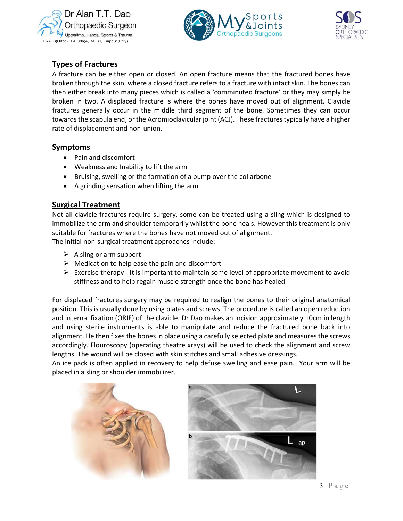





# Types of Fractures

A fracture can be either open or closed. An open fracture means that the fractured bones have broken through the skin, where a closed fracture refers to a fracture with intact skin. The bones can then either break into many pieces which is called a 'comminuted fracture' or they may simply be broken in two. A displaced fracture is where the bones have moved out of alignment. Clavicle fractures generally occur in the middle third segment of the bone. Sometimes they can occur towards the scapula end, or the Acromioclavicular joint (ACJ). These fractures typically have a higher rate of displacement and non-union.

#### Symptoms

- Pain and discomfort
- Weakness and Inability to lift the arm
- Bruising, swelling or the formation of a bump over the collarbone
- A grinding sensation when lifting the arm

## Surgical Treatment

Not all clavicle fractures require surgery, some can be treated using a sling which is designed to immobilize the arm and shoulder temporarily whilst the bone heals. However this treatment is only suitable for fractures where the bones have not moved out of alignment.

The initial non-surgical treatment approaches include:

- $\triangleright$  A sling or arm support
- $\triangleright$  Medication to help ease the pain and discomfort
- $\triangleright$  Exercise therapy It is important to maintain some level of appropriate movement to avoid stiffness and to help regain muscle strength once the bone has healed

in length<br>back into<br>the screws<br>and screw<br>rm will be<br> $\frac{1}{3}$  | P a g e For displaced fractures surgery may be required to realign the bones to their original anatomical position. This is usually done by using plates and screws. The procedure is called an open reduction and internal fixation (ORIF) of the clavicle. Dr Dao makes an incision approximately 10cm in length and using sterile instruments is able to manipulate and reduce the fractured bone back into alignment. He then fixes the bones in place using a carefully selected plate and measures the screws accordingly. Flouroscopy (operating theatre xrays) will be used to check the alignment and screw lengths. The wound will be closed with skin stitches and small adhesive dressings.

An ice pack is often applied in recovery to help defuse swelling and ease pain. Your arm will be placed in a sling or shoulder immobilizer.

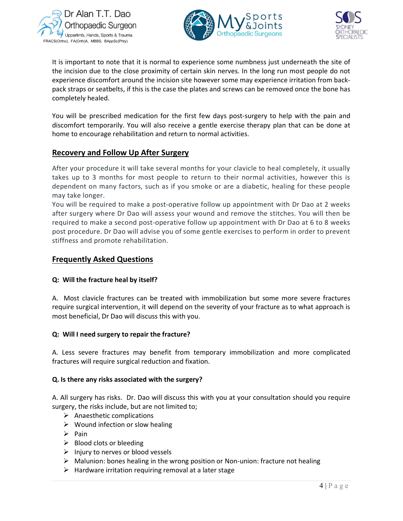





It is important to note that it is normal to experience some numbness just underneath the site of the incision due to the close proximity of certain skin nerves. In the long run most people do not experience discomfort around the incision site however some may experience irritation from backpack straps or seatbelts, if this is the case the plates and screws can be removed once the bone has completely healed.

You will be prescribed medication for the first few days post-surgery to help with the pain and discomfort temporarily. You will also receive a gentle exercise therapy plan that can be done at home to encourage rehabilitation and return to normal activities.

### Recovery and Follow Up After Surgery

After your procedure it will take several months for your clavicle to heal completely, it usually takes up to 3 months for most people to return to their normal activities, however this is dependent on many factors, such as if you smoke or are a diabetic, healing for these people may take longer.

You will be required to make a post-operative follow up appointment with Dr Dao at 2 weeks after surgery where Dr Dao will assess your wound and remove the stitches. You will then be required to make a second post-operative follow up appointment with Dr Dao at 6 to 8 weeks post procedure. Dr Dao will advise you of some gentle exercises to perform in order to prevent stiffness and promote rehabilitation.

### Frequently Asked Questions

#### Q: Will the fracture heal by itself?

A. Most clavicle fractures can be treated with immobilization but some more severe fractures require surgical intervention, it will depend on the severity of your fracture as to what approach is most beneficial, Dr Dao will discuss this with you.

#### Q: Will I need surgery to repair the fracture?

ou require<br>by require<br> $\frac{4}{4}$  | P a g e A. Less severe fractures may benefit from temporary immobilization and more complicated fractures will require surgical reduction and fixation.

#### Q. Is there any risks associated with the surgery?

A. All surgery has risks. Dr. Dao will discuss this with you at your consultation should you require surgery, the risks include, but are not limited to;

- $\triangleright$  Anaesthetic complications
- $\triangleright$  Wound infection or slow healing
- $\triangleright$  Pain
- $\triangleright$  Blood clots or bleeding
- $\triangleright$  Injury to nerves or blood vessels
- $\triangleright$  Malunion: bones healing in the wrong position or Non-union: fracture not healing
- $\triangleright$  Hardware irritation requiring removal at a later stage